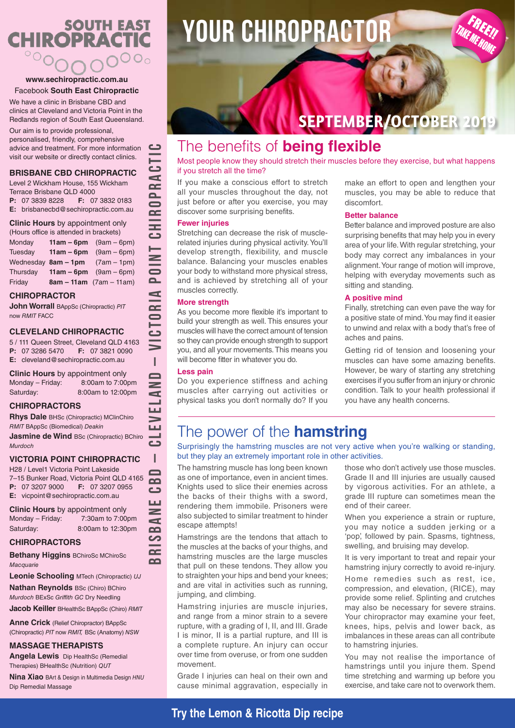### **SOUTH EAST CHIROPRACTIC**  $\circ \circ_{\mathsf{O}}$

#### **www.sechiropractic.com.au** Facebook **South East Chiropractic**

We have a clinic in Brisbane CBD and clinics at Cleveland and Victoria Point in the Redlands region of South East Queensland.

Our aim is to provide professional, personalised, friendly, comprehensive advice and treatment. For more information visit our website or directly contact clinics.

#### **BRISBANE CBD CHIROPRACTIC**

Level 2 Wickham House, 155 Wickham Terrace Brisbane QLD 4000

**P:** 07 3839 8228 **F:** 07 3832 0183 **E:** brisbanecbd@sechiropractic.com.au

**Clinic Hours** by appointment only

| (Hours office is attended in brackets) |                     |                                 |
|----------------------------------------|---------------------|---------------------------------|
| Monday                                 |                     | <b>11am – 6pm</b> $(9am - 6pm)$ |
| Tuesday                                | $11am - 6pm$        | $(9am - 6pm)$                   |
|                                        | Wednesday 8am - 1pm | $(7am - 1pm)$                   |
| Thursday                               | $11am - 6pm$        | $(9am - 6pm)$                   |
| Friday                                 |                     | $8am - 11am$ (7am - 11am)       |

#### **CHIROPRACTOR**

**John Worrall** BAppSc (Chiropractic) *PIT* now *RMIT* FACC

#### **CLEVELAND CHIROPRACTIC**

5 / 111 Queen Street, Cleveland QLD 4163 **P:** 07 3286 5470 **F:** 07 3821 0090 **E:** cleveland@sechiropractic.com.au

**Clinic Hours** by appointment only Monday – Friday: 8:00am to 7:00pm Saturday: 8:00am to 12:00pm

#### **CHIROPRACTORS**

**Rhys Dale** BHSc (Chiropractic) MClinChiro *RMIT* BAppSc (Biomedical) *Deakin*

**Jasmine de Wind BSc (Chiropractic) BChiro** *Murdoch*

#### **VICTORIA POINT CHIROPRACTIC**

H28 / Level1 Victoria Point Lakeside 7–15 Bunker Road, Victoria Point QLD 4165 **P:** 07 3207 9000 **F:** 07 3207 0955 **E:** vicpoint@sechiropractic.com.au

**Clinic Hours** by appointment only Monday – Friday: 7:30am to 7:00pm Saturday: 8:00am to 12:30pm

#### **CHIROPRACTORS**

**Bethany Higgins** BChiroSc MChiroSc *Macquarie*

**Leonie Schooling** MTech (Chiropractic) *UJ*

**Nathan Reynolds** BSc (Chiro) BChiro *Murdoch* BExSc *Griffith GC* Dry Needling

**Jacob Keiller** BHealthSc BAppSc (Chiro) *RMIT*

**Anne Crick** (Relief Chiropractor) BAppSc (Chiropractic) *PIT* now *RMIT,* BSc (Anatomy) *NSW*

#### **MASSAGE THERAPISTS**

**Angela Lewis** Dip HealthSc (Remedial Therapies) BHealthSc (Nutrition) *QUT*

**Nina Xiao** BArt & Design in Multimedia Design *HNU* Dip Remedial Massage

# **YOUR CHIROPRACTOR**

## **SEPTEMBER/OCTOBER 2019**

### The benefits of **being flexible**

Most people know they should stretch their muscles before they exercise, but what happens if you stretch all the time?

If you make a conscious effort to stretch all your muscles throughout the day, not just before or after you exercise, you may discover some surprising benefits.

#### **Fewer injuries**

Stretching can decrease the risk of musclerelated injuries during physical activity. You'll develop strength, flexibility, and muscle balance. Balancing your muscles enables your body to withstand more physical stress, and is achieved by stretching all of your muscles correctly.

#### **More strength**

As you become more flexible it's important to build your strength as well. This ensures your muscles will have the correct amount of tension so they can provide enough strength to support you, and all your movements. This means you will become fitter in whatever you do.

#### **Less pain**

**BRISBANE CBD – CLEVELAND – VICTORIA POINT CHIROPRACTIC**

I

 $\overline{\phantom{a}}$ d

ĹШ

I  $\overline{\phantom{0}}$  $\sim$ ده LЦ  $\geq$ ď  $\Omega$ ပာ  $\sim$ **nn** 

CTORIA

 $\cup$ 

<u>ت</u> d  $\sim$  $\overline{\mathsf{P}}$  $\bar{=}$ Ξ دے

 $\geq$  $\overline{=}$ 

> Do you experience stiffness and aching muscles after carrying out activities or physical tasks you don't normally do? If you

make an effort to open and lengthen your muscles, you may be able to reduce that discomfort.

TAKE ME HOME

#### **Better balance**

Better balance and improved posture are also surprising benefits that may help you in every area of your life. With regular stretching, your body may correct any imbalances in your alignment. Your range of motion will improve, helping with everyday movements such as sitting and standing.

#### **A positive mind**

Finally, stretching can even pave the way for a positive state of mind. You may find it easier to unwind and relax with a body that's free of aches and pains.

Getting rid of tension and loosening your muscles can have some amazing benefits. However, be wary of starting any stretching exercises if you suffer from an injury or chronic condition. Talk to your health professional if you have any health concerns.

### The power of the **hamstring**

Surprisingly the hamstring muscles are not very active when you're walking or standing, but they play an extremely important role in other activities.

The hamstring muscle has long been known as one of importance, even in ancient times. Knights used to slice their enemies across the backs of their thighs with a sword, rendering them immobile. Prisoners were also subjected to similar treatment to hinder escape attempts!

Hamstrings are the tendons that attach to the muscles at the backs of your thighs, and hamstring muscles are the large muscles that pull on these tendons. They allow you to straighten your hips and bend your knees; and are vital in activities such as running, jumping, and climbing.

Hamstring injuries are muscle injuries, and range from a minor strain to a severe rupture, with a grading of I, II, and III. Grade I is minor, II is a partial rupture, and III is a complete rupture. An injury can occur over time from overuse, or from one sudden movement.

Grade I injuries can heal on their own and cause minimal aggravation, especially in

those who don't actively use those muscles. Grade II and III injuries are usually caused by vigorous activities. For an athlete, a grade III rupture can sometimes mean the end of their career.

When you experience a strain or rupture, you may notice a sudden jerking or a 'pop', followed by pain. Spasms, tightness, swelling, and bruising may develop.

It is very important to treat and repair your hamstring injury correctly to avoid re-injury.

Home remedies such as rest, ice, compression, and elevation, (RICE), may provide some relief. Splinting and crutches may also be necessary for severe strains. Your chiropractor may examine your feet, knees, hips, pelvis and lower back, as imbalances in these areas can all contribute to hamstring injuries.

You may not realise the importance of hamstrings until you injure them. Spend time stretching and warming up before you exercise, and take care not to overwork them.

### **Try the Lemon & Ricotta Dip recipe**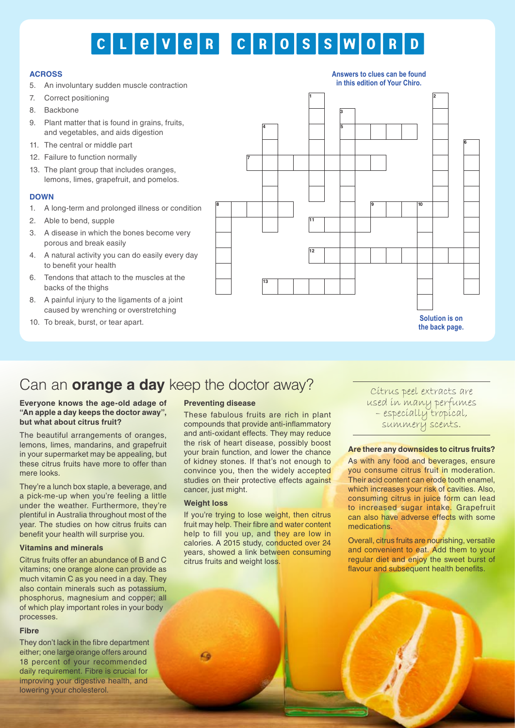# CLEVER CROSSWO

#### **ACROSS**

- 5. An involuntary sudden muscle contraction
- 7. Correct positioning
- 8. Backbone
- 9. Plant matter that is found in grains, fruits, and vegetables, and aids digestion
- 11. The central or middle part
- 12. Failure to function normally
- 13. The plant group that includes oranges, lemons, limes, grapefruit, and pomelos.

#### **DOWN**

- 1. A long-term and prolonged illness or condition
- 2. Able to bend, supple
- 3. A disease in which the bones become very porous and break easily
- 4. A natural activity you can do easily every day to benefit your health
- 6. Tendons that attach to the muscles at the backs of the thighs
- 8. A painful injury to the ligaments of a joint caused by wrenching or overstretching
- 10. To break, burst, or tear apart.



### Can an **orange a day** keep the doctor away? Can an **orange and day** keep the doctor away?

#### **Everyone knows the age-old adage of "An apple a day keeps the doctor away", but what about citrus fruit?**

The beautiful arrangements of oranges, lemons, limes, mandarins, and grapefruit in your supermarket may be appealing, but these citrus fruits have more to offer than mere looks.

They're a lunch box staple, a beverage, and a pick-me-up when you're feeling a little under the weather. Furthermore, they're plentiful in Australia throughout most of the year. The studies on how citrus fruits can benefit your health will surprise you.

#### **Vitamins and minerals**

Citrus fruits offer an abundance of B and C vitamins; one orange alone can provide as much vitamin C as you need in a day. They also contain minerals such as potassium, phosphorus, magnesium and copper; all of which play important roles in your body processes.

#### **Fibre**

They don't lack in the fibre department either; one large orange offers around 18 percent of your recommended daily requirement. Fibre is crucial for improving your digestive health, and lowering your cholesterol.

#### **Preventing disease**

These fabulous fruits are rich in plant compounds that provide anti-inflammatory and anti-oxidant effects. They may reduce the risk of heart disease, possibly boost your brain function, and lower the chance of kidney stones. If that's not enough to convince you, then the widely accepted studies on their protective effects against cancer, just might.

#### **Weight loss**

If you're trying to lose weight, then citrus fruit may help. Their fibre and water content help to fill you up, and they are low in calories. A 2015 study, conducted over 24 years, showed a link between consuming citrus fruits and weight loss.

used in many perfumes – especially tropical, summery scents.

#### **Are there any downsides to citrus fruits?**

As with any food and beverages, ensure you consume citrus fruit in moderation. Their acid content can erode tooth enamel, which increases your risk of cavities. Also, consuming citrus in juice form can lead to increased sugar intake. Grapefruit can also have adverse effects with some medications.

Overall, citrus fruits are nourishing, versatile and convenient to eat. Add them to your regular diet and enjoy the sweet burst of flavour and subsequent health benefits.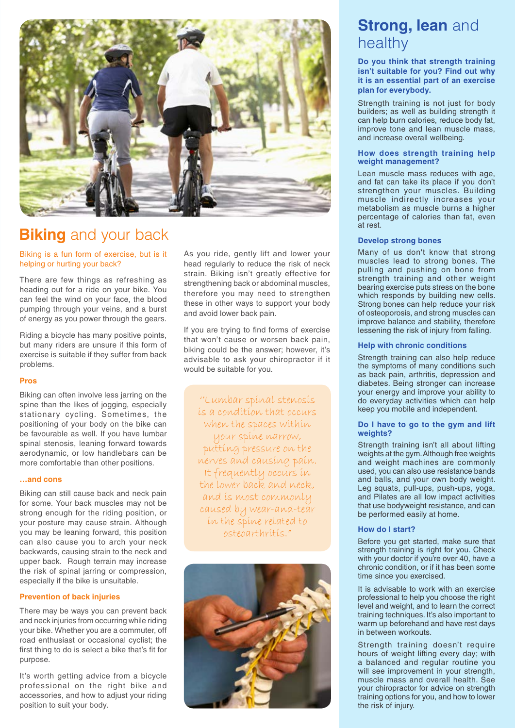

### **Biking** and your back

Biking is a fun form of exercise, but is it helping or hurting your back?

There are few things as refreshing as heading out for a ride on your bike. You can feel the wind on your face, the blood pumping through your veins, and a burst of energy as you power through the gears.

Riding a bicycle has many positive points, but many riders are unsure if this form of exercise is suitable if they suffer from back problems.

#### **Pros**

Biking can often involve less jarring on the spine than the likes of jogging, especially stationary cycling. Sometimes, the positioning of your body on the bike can be favourable as well. If you have lumbar spinal stenosis, leaning forward towards aerodynamic, or low handlebars can be more comfortable than other positions.

#### **…and cons**

Biking can still cause back and neck pain for some. Your back muscles may not be strong enough for the riding position, or your posture may cause strain. Although you may be leaning forward, this position can also cause you to arch your neck backwards, causing strain to the neck and upper back. Rough terrain may increase the risk of spinal jarring or compression, especially if the bike is unsuitable.

#### **Prevention of back injuries**

There may be ways you can prevent back and neck injuries from occurring while riding your bike. Whether you are a commuter, off road enthusiast or occasional cyclist; the first thing to do is select a bike that's fit for purpose.

It's worth getting advice from a bicycle professional on the right bike and accessories, and how to adjust your riding position to suit your body.

As you ride, gently lift and lower your head regularly to reduce the risk of neck strain. Biking isn't greatly effective for strengthening back or abdominal muscles, therefore you may need to strengthen these in other ways to support your body and avoid lower back pain.

If you are trying to find forms of exercise that won't cause or worsen back pain, biking could be the answer; however, it's advisable to ask your chiropractor if it would be suitable for you.

''Lumbar spinal stenosis is a condition that occurs when the spaces within your spine narrow, putting pressure on the nerves and causing pain. It frequently occurs in the lower back and neck, and is most commonly caused by wear-and-tear in the spine related to osteoarthritis."



### **Strong, lean and** healthy

**Do you think that strength training isn't suitable for you? Find out why it is an essential part of an exercise plan for everybody.** 

Strength training is not just for body builders; as well as building strength it can help burn calories, reduce body fat, improve tone and lean muscle mass, and increase overall wellbeing.

#### **How does strength training help weight management?**

Lean muscle mass reduces with age, and fat can take its place if you don't strengthen your muscles. Building muscle indirectly increases your metabolism as muscle burns a higher percentage of calories than fat, even at rest.

#### **Develop strong bones**

Many of us don't know that strong muscles lead to strong bones. The pulling and pushing on bone from strength training and other weight bearing exercise puts stress on the bone which responds by building new cells. Strong bones can help reduce your risk of osteoporosis, and strong muscles can improve balance and stability, therefore lessening the risk of injury from falling.

#### **Help with chronic conditions**

Strength training can also help reduce the symptoms of many conditions such as back pain, arthritis, depression and diabetes. Being stronger can increase your energy and improve your ability to do everyday activities which can help keep you mobile and independent.

#### **Do I have to go to the gym and lift weights?**

Strength training isn't all about lifting weights at the gym. Although free weights and weight machines are commonly used, you can also use resistance bands and balls, and your own body weight. Leg squats, pull-ups, push-ups, yoga, and Pilates are all low impact activities that use bodyweight resistance, and can be performed easily at home.

#### **How do I start?**

Before you get started, make sure that strength training is right for you. Check with your doctor if you're over 40, have a chronic condition, or if it has been some time since you exercised.

It is advisable to work with an exercise professional to help you choose the right level and weight, and to learn the correct training techniques. It's also important to warm up beforehand and have rest days in between workouts.

Strength training doesn't require hours of weight lifting every day; with a balanced and regular routine you will see improvement in your strength, muscle mass and overall health. See your chiropractor for advice on strength training options for you, and how to lower the risk of injury.